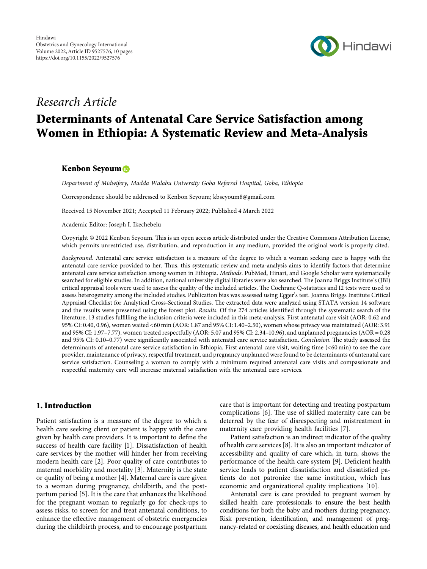

## *Research Article*

# **Determinants of Antenatal Care Service Satisfaction among Women in Ethiopia: A Systematic Review and Meta-Analysis**

## **Kenbon Seyoum**

*Department of Midwifery, Madda Walabu University Goba Referral Hospital, Goba, Ethiopia*

Correspondence should be addressed to Kenbon Seyoum; [kbseyoum8@gmail.com](mailto:kbseyoum8@gmail.com)

Received 15 November 2021; Accepted 11 February 2022; Published 4 March 2022

Academic Editor: Joseph I. Ikechebelu

Copyright © 2022 Kenbon Seyoum. This is an open access article distributed under the [Creative Commons Attribution License](https://creativecommons.org/licenses/by/4.0/), which permits unrestricted use, distribution, and reproduction in any medium, provided the original work is properly cited.

*Background*. Antenatal care service satisfaction is a measure of the degree to which a woman seeking care is happy with the antenatal care service provided to her. Thus, this systematic review and meta-analysis aims to identify factors that determine antenatal care service satisfaction among women in Ethiopia. *Methods*. PubMed, Hinari, and Google Scholar were systematically searched for eligible studies. In addition, national university digital libraries were also searched. The Joanna Briggs Institute's (JBI) critical appraisal tools were used to assess the quality of the included articles. The Cochrane Q-statistics and I2 tests were used to assess heterogeneity among the included studies. Publication bias was assessed using Egger's test. Joanna Briggs Institute Critical Appraisal Checklist for Analytical Cross-Sectional Studies. The extracted data were analyzed using STATA version 14 software and the results were presented using the forest plot. *Results*. Of the 274 articles identified through the systematic search of the literature, 13 studies fulfilling the inclusion criteria were included in this meta-analysis. First antenatal care visit (AOR: 0.62 and 95% CI: 0.40, 0.96), women waited <60 min (AOR: 1.87 and 95% CI: 1.40–2.50), women whose privacy was maintained (AOR: 3.91 and 95% CI: 1.97–7.77), women treated respectfully (AOR: 5.07 and 95% CI: 2.34–10.96), and unplanned pregnancies (AOR =  $0.28$ and 95% CI: 0.10–0.77) were significantly associated with antenatal care service satisfaction. *Conclusion*. The study assessed the determinants of antenatal care service satisfaction in Ethiopia. First antenatal care visit, waiting time (<60 min) to see the care provider, maintenance of privacy, respectful treatment, and pregnancy unplanned were found to be determinants of antenatal care service satisfaction. Counseling a woman to comply with a minimum required antenatal care visits and compassionate and respectful maternity care will increase maternal satisfaction with the antenatal care services.

## **1. Introduction**

Patient satisfaction is a measure of the degree to which a health care seeking client or patient is happy with the care given by health care providers. It is important to define the success of health care facility [\[1\]](#page-8-0). Dissatisfaction of health care services by the mother will hinder her from receiving modern health care [[2\]](#page-8-0). Poor quality of care contributes to maternal morbidity and mortality [\[3\]](#page-8-0). Maternity is the state or quality of being a mother [\[4\]](#page-8-0). Maternal care is care given to a woman during pregnancy, childbirth, and the postpartum period [[5\]](#page-8-0). It is the care that enhances the likelihood for the pregnant woman to regularly go for check-ups to assess risks, to screen for and treat antenatal conditions, to enhance the effective management of obstetric emergencies during the childbirth process, and to encourage postpartum

care that is important for detecting and treating postpartum complications [[6\]](#page-8-0). The use of skilled maternity care can be deterred by the fear of disrespecting and mistreatment in maternity care providing health facilities [[7\]](#page-8-0).

Patient satisfaction is an indirect indicator of the quality of health care services [[8\]](#page-8-0). It is also an important indicator of accessibility and quality of care which, in turn, shows the performance of the health care system [\[9\]](#page-8-0). Deficient health service leads to patient dissatisfaction and dissatisfied patients do not patronize the same institution, which has economic and organizational quality implications [\[10](#page-8-0)].

Antenatal care is care provided to pregnant women by skilled health care professionals to ensure the best health conditions for both the baby and mothers during pregnancy. Risk prevention, identification, and management of pregnancy-related or coexisting diseases, and health education and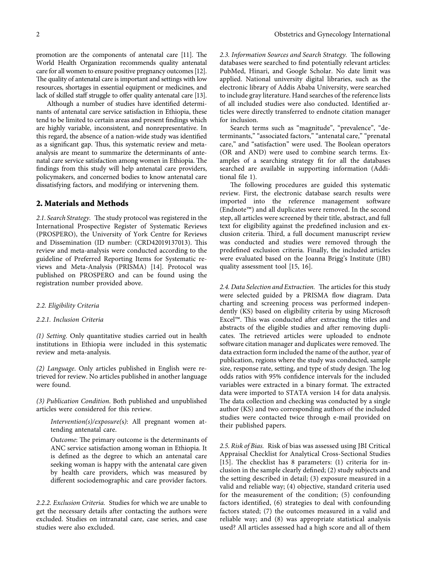promotion are the components of antenatal care  $[11]$  $[11]$  $[11]$ . The World Health Organization recommends quality antenatal care for all women to ensure positive pregnancy outcomes [\[12\]](#page-8-0). The quality of antenatal care is important and settings with low resources, shortages in essential equipment or medicines, and lack of skilled staff struggle to offer quality antenatal care [\[13\]](#page-8-0).

Although a number of studies have identified determinants of antenatal care service satisfaction in Ethiopia, these tend to be limited to certain areas and present findings which are highly variable, inconsistent, and nonrepresentative. In this regard, the absence of a nation-wide study was identified as a significant gap. Thus, this systematic review and metaanalysis are meant to summarize the determinants of antenatal care service satisfaction among women in Ethiopia. The findings from this study will help antenatal care providers, policymakers, and concerned bodies to know antenatal care dissatisfying factors, and modifying or intervening them.

## **2. Materials and Methods**

2.1. Search Strategy. The study protocol was registered in the International Prospective Register of Systematic Reviews (PROSPERO), the University of York Centre for Reviews and Dissemination (ID number: (CRD42019137013). This review and meta-analysis were conducted according to the guideline of Preferred Reporting Items for Systematic reviews and Meta-Analysis (PRISMA) [\[14](#page-8-0)]. Protocol was published on PROSPERO and can be found using the registration number provided above.

#### *2.2. Eligibility Criteria*

#### *2.2.1. Inclusion Criteria*

*(1) Setting*. Only quantitative studies carried out in health institutions in Ethiopia were included in this systematic review and meta-analysis.

*(2) Language*. Only articles published in English were retrieved for review. No articles published in another language were found.

*(3) Publication Condition*. Both published and unpublished articles were considered for this review.

*Intervention(s)/exposure(*s*)*: All pregnant women attending antenatal care.

Outcome: The primary outcome is the determinants of ANC service satisfaction among woman in Ethiopia. It is defined as the degree to which an antenatal care seeking woman is happy with the antenatal care given by health care providers, which was measured by different sociodemographic and care provider factors.

*2.2.2. Exclusion Criteria.* Studies for which we are unable to get the necessary details after contacting the authors were excluded. Studies on intranatal care, case series, and case studies were also excluded.

2.3. Information Sources and Search Strategy. The following databases were searched to find potentially relevant articles: PubMed, Hinari, and Google Scholar. No date limit was applied. National university digital libraries, such as the electronic library of Addis Ababa University, were searched to include gray literature. Hand searches of the reference lists of all included studies were also conducted. Identified articles were directly transferred to endnote citation manager for inclusion.

Search terms such as "magnitude", "prevalence", "determinants," "associated factors," "antenatal care," "prenatal care," and "satisfaction" were used. The Boolean operators (OR and AND) were used to combine search terms. Examples of a searching strategy fit for all the databases searched are available in supporting information (Additional file [1\)](#page-8-0).

The following procedures are guided this systematic review. First, the electronic database search results were imported into the reference management software (Endnote™) and all duplicates were removed. In the second step, all articles were screened by their title, abstract, and full text for eligibility against the predefined inclusion and exclusion criteria. Third, a full document manuscript review was conducted and studies were removed through the predefined exclusion criteria. Finally, the included articles were evaluated based on the Joanna Brigg's Institute (JBI) quality assessment tool [[15, 16\]](#page-8-0).

2.4. Data Selection and Extraction. The articles for this study were selected guided by a PRISMA flow diagram. Data charting and screening process was performed independently (KS) based on eligibility criteria by using Microsoft Excel™. This was conducted after extracting the titles and abstracts of the eligible studies and after removing duplicates. The retrieved articles were uploaded to endnote software citation manager and duplicates were removed. The data extraction form included the name of the author, year of publication, regions where the study was conducted, sample size, response rate, setting, and type of study design. The log odds ratios with 95% confidence intervals for the included variables were extracted in a binary format. The extracted data were imported to STATA version 14 for data analysis. The data collection and checking was conducted by a single author (KS) and two corresponding authors of the included studies were contacted twice through e-mail provided on their published papers.

*2.5. Risk of Bias.* Risk of bias was assessed using JBI Critical Appraisal Checklist for Analytical Cross-Sectional Studies [\[15\]](#page-8-0). The checklist has 8 parameters:  $(1)$  criteria for inclusion in the sample clearly defined; (2) study subjects and the setting described in detail; (3) exposure measured in a valid and reliable way; (4) objective, standard criteria used for the measurement of the condition; (5) confounding factors identified, (6) strategies to deal with confounding factors stated; (7) the outcomes measured in a valid and reliable way; and (8) was appropriate statistical analysis used? All articles assessed had a high score and all of them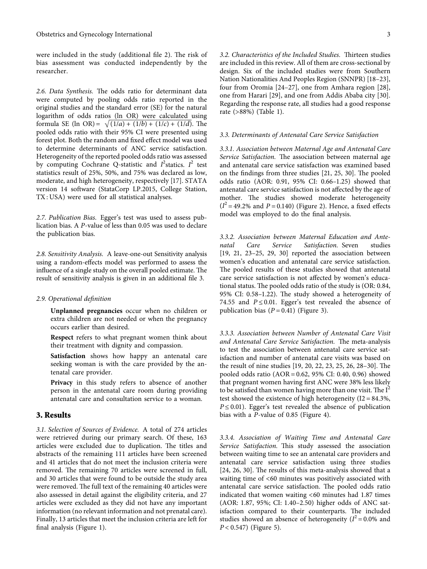were included in the study (additional file [2](#page-8-0)). The risk of bias assessment was conducted independently by the researcher.

2.6. Data Synthesis. The odds ratio for determinant data were computed by pooling odds ratio reported in the original studies and the standard error (SE) for the natural logarithm of odds ratios (ln OR) were calculated using reformula SE (ln OR) =  $\sqrt{(1/a) + (1/b) + (1/c) + (1/d)}$ . The pooled odds ratio with their 95% CI were presented using forest plot. Both the random and fixed effect model was used to determine determinants of ANC service satisfaction. Heterogeneity of the reported pooled odds ratio was assessed by computing Cochrane Q-statistic and *I*<sup>2</sup> statics. *I*<sup>2</sup> test statistics result of 25%, 50%, and 75% was declared as low, moderate, and high heterogeneity, respectively [\[17](#page-8-0)]. STATA version 14 software (StataCorp LP.2015, College Station, TX : USA) were used for all statistical analyses.

*2.7. Publication Bias.* Egger's test was used to assess publication bias. A *P*-value of less than 0.05 was used to declare the publication bias.

*2.8. Sensitivity Analysis.* A leave-one-out Sensitivity analysis using a random-effects model was performed to assess the influence of a single study on the overall pooled estimate. The result of sensitivity analysis is given in an additional file [3.](#page-8-0)

#### *2.9. Operational definition*

**Unplanned pregnancies** occur when no children or extra children are not needed or when the pregnancy occurs earlier than desired.

**Respect** refers to what pregnant women think about their treatment with dignity and compassion.

**Satisfaction** shows how happy an antenatal care seeking woman is with the care provided by the antenatal care provider.

**Privacy** in this study refers to absence of another person in the antenatal care room during providing antenatal care and consultation service to a woman.

#### **3. Results**

*3.1. Selection of Sources of Evidence.* A total of 274 articles were retrieved during our primary search. Of these, 163 articles were excluded due to duplication. The titles and abstracts of the remaining 111 articles have been screened and 41 articles that do not meet the inclusion criteria were removed. The remaining 70 articles were screened in full, and 30 articles that were found to be outside the study area were removed. The full text of the remaining 40 articles were also assessed in detail against the eligibility criteria, and 27 articles were excluded as they did not have any important information (no relevant information and not prenatal care). Finally, 13 articles that meet the inclusion criteria are left for final analysis (Figure [1\)](#page-3-0).

3.2. Characteristics of the Included Studies. Thirteen studies are included in this review. All of them are cross-sectional by design. Six of the included studies were from Southern Nation Nationalities And Peoples Region (SNNPR) [[18–23](#page-8-0)], four from Oromia [[24](#page-8-0)[–27\]](#page-9-0), one from Amhara region [[28](#page-9-0)], one from Harari [[29](#page-9-0)], and one from Addis Ababa city [[30](#page-9-0)]. Regarding the response rate, all studies had a good response rate (>88%) (Table [1\)](#page-3-0).

#### *3.3. Determinants of Antenatal Care Service Satisfaction*

*3.3.1. Association between Maternal Age and Antenatal Care Service Satisfaction*. The association between maternal age and antenatal care service satisfaction was examined based on the findings from three studies  $[21, 25, 30]$  $[21, 25, 30]$  $[21, 25, 30]$ . The pooled odds ratio (AOR: 0.91, 95% CI: 0.66–1.25) showed that antenatal care service satisfaction is not affected by the age of mother. The studies showed moderate heterogeneity  $(I^2 = 49.2\%$  and  $P = 0.140$ ) (Figure [2\)](#page-4-0). Hence, a fixed effects model was employed to do the final analysis.

*3.3.2. Association between Maternal Education and Ante-Satisfaction.* Seven [\[19](#page-8-0), 21, 23-25, [29, 30](#page-9-0)] reported the association between women's education and antenatal care service satisfaction. The pooled results of these studies showed that antenatal care service satisfaction is not affected by women's educational status. The pooled odds ratio of the study is (OR: 0.84, 95% CI:  $0.58-1.22$ ). The study showed a heterogeneity of 74.55 and  $P \le 0.01$ . Egger's test revealed the absence of publication bias  $(P = 0.41)$  (Figure [3\)](#page-4-0).

*3.3.3. Association between Number of Antenatal Care Visit* and Antenatal Care Service Satisfaction. The meta-analysis to test the association between antenatal care service satisfaction and number of antenatal care visits was based on the result of nine studies  $[19, 20, 22, 23, 25, 26, 28-30]$  $[19, 20, 22, 23, 25, 26, 28-30]$  $[19, 20, 22, 23, 25, 26, 28-30]$  $[19, 20, 22, 23, 25, 26, 28-30]$  $[19, 20, 22, 23, 25, 26, 28-30]$  $[19, 20, 22, 23, 25, 26, 28-30]$  $[19, 20, 22, 23, 25, 26, 28-30]$ . The pooled odds ratio (AOR = 0.62, 95% CI: 0.40, 0.96) showed that pregnant women having first ANC were 38% less likely to be satisfied than women having more than one visit. The  $I^2$ test showed the existence of high heterogeneity ( $I2 = 84.3\%$ ,  $P \leq 0.01$ ). Egger's test revealed the absence of publication bias with a *P*-value of 0.85 (Figure [4\)](#page-5-0).

*3.3.4. Association of Waiting Time and Antenatal Care* Service Satisfaction. This study assessed the association between waiting time to see an antenatal care providers and antenatal care service satisfaction using three studies  $[24, 26, 30]$  $[24, 26, 30]$  $[24, 26, 30]$ . The results of this meta-analysis showed that a waiting time of <60 minutes was positively associated with antenatal care service satisfaction. The pooled odds ratio indicated that women waiting <60 minutes had 1.87 times (AOR: 1.87, 95%; CI: 1.40–2.50) higher odds of ANC satisfaction compared to their counterparts. The included studies showed an absence of heterogeneity  $(I^2 = 0.0\%$  and *P* < 0.547) (Figure [5\)](#page-5-0).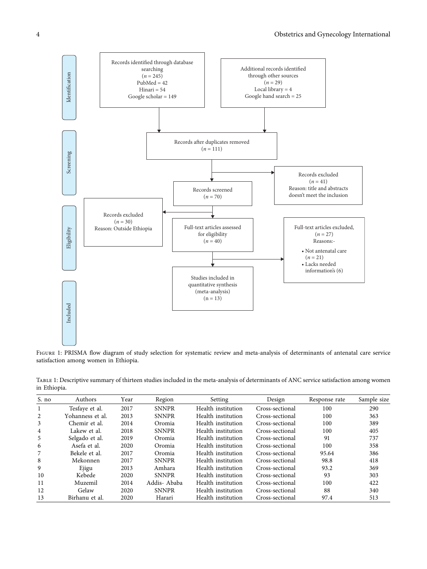<span id="page-3-0"></span>

Figure 1: PRISMA flow diagram of study selection for systematic review and meta-analysis of determinants of antenatal care service satisfaction among women in Ethiopia.

| S. no | Authors          | Year | Region       | Setting            | Design          | Response rate | Sample size |
|-------|------------------|------|--------------|--------------------|-----------------|---------------|-------------|
|       | Tesfave et al.   | 2017 | <b>SNNPR</b> | Health institution | Cross-sectional | 100           | 290         |
| 2     | Yohanness et al. | 2013 | <b>SNNPR</b> | Health institution | Cross-sectional | 100           | 363         |
| 3     | Chemir et al.    | 2014 | Oromia       | Health institution | Cross-sectional | 100           | 389         |
| 4     | Lakew et al.     | 2018 | <b>SNNPR</b> | Health institution | Cross-sectional | 100           | 405         |
| 5     | Selgado et al.   | 2019 | Oromia       | Health institution | Cross-sectional | 91            | 737         |
| 6     | Asefa et al.     | 2020 | Oromia       | Health institution | Cross-sectional | 100           | 358         |
| 7     | Bekele et al.    | 2017 | Oromia       | Health institution | Cross-sectional | 95.64         | 386         |
| 8     | Mekonnen         | 2017 | <b>SNNPR</b> | Health institution | Cross-sectional | 98.8          | 418         |
| 9     | Ejigu            | 2013 | Amhara       | Health institution | Cross-sectional | 93.2          | 369         |
| 10    | Kebede           | 2020 | <b>SNNPR</b> | Health institution | Cross-sectional | 93            | 303         |
| 11    | Muzemil          | 2014 | Addis-Ababa  | Health institution | Cross-sectional | 100           | 422         |
| 12    | Gelaw            | 2020 | <b>SNNPR</b> | Health institution | Cross-sectional | 88            | 340         |
| 13    | Birhanu et al.   | 2020 | Harari       | Health institution | Cross-sectional | 97.4          | 513         |

Table 1: Descriptive summary of thirteen studies included in the meta-analysis of determinants of ANC service satisfaction among women in Ethiopia.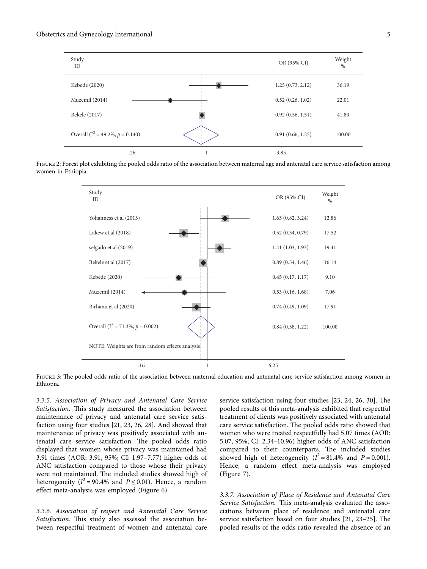<span id="page-4-0"></span>





FIGURE 3: The pooled odds ratio of the association between maternal education and antenatal care service satisfaction among women in Ethiopia.

*3.3.5. Association of Privacy and Antenatal Care Service Satisfaction*. This study measured the association between maintenance of privacy and antenatal care service satisfaction using four studies [\[21](#page-8-0), [23, 26](#page-8-0), [28](#page-9-0)]. And showed that maintenance of privacy was positively associated with antenatal care service satisfaction. The pooled odds ratio displayed that women whose privacy was maintained had 3.91 times (AOR: 3.91, 95%; CI: 1.97–7.77) higher odds of ANC satisfaction compared to those whose their privacy were not maintained. The included studies showed high of heterogeneity ( $I^2 = 90.4\%$  and  $P \le 0.01$ ). Hence, a random effect meta-analysis was employed (Figure [6\)](#page-6-0).

*3.3.6. Association of respect and Antenatal Care Service Satisfaction.* This study also assessed the association between respectful treatment of women and antenatal care service satisfaction using four studies  $[23, 24, 26, 30]$  $[23, 24, 26, 30]$  $[23, 24, 26, 30]$  $[23, 24, 26, 30]$ . The pooled results of this meta-analysis exhibited that respectful treatment of clients was positively associated with antenatal care service satisfaction. The pooled odds ratio showed that women who were treated respectfully had 5.07 times (AOR: 5.07, 95%; CI: 2.34–10.96) higher odds of ANC satisfaction compared to their counterparts. The included studies showed high of heterogeneity  $(I^2 = 81.4\%$  and  $P = 0.001$ ). Hence, a random effect meta-analysis was employed (Figure [7](#page-6-0)).

*3.3.7. Association of Place of Residence and Antenatal Care* Service Satisfaction. This meta-analysis evaluated the associations between place of residence and antenatal care service satisfaction based on four studies  $[21, 23-25]$  $[21, 23-25]$ . The pooled results of the odds ratio revealed the absence of an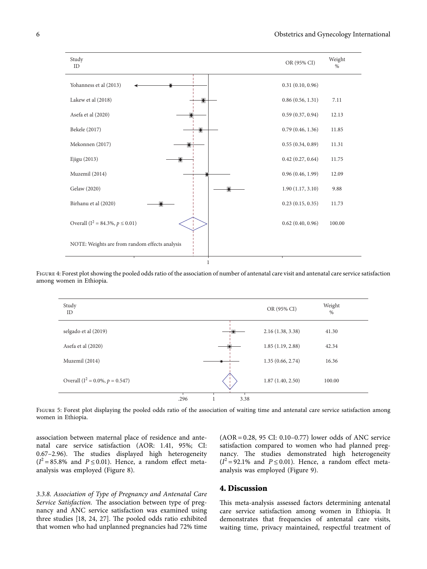<span id="page-5-0"></span>

Figure 4: Forest plot showing the pooled odds ratio of the association of number of antenatal care visit and antenatal care service satisfaction among women in Ethiopia.



FIGURE 5: Forest plot displaying the pooled odds ratio of the association of waiting time and antenatal care service satisfaction among women in Ethiopia.

association between maternal place of residence and antenatal care service satisfaction (AOR: 1.41, 95%; CI: 0.67-2.96). The studies displayed high heterogeneity  $(I^2 = 85.8\%$  and  $P \le 0.01$ ). Hence, a random effect metaanalysis was employed (Figure [8\)](#page-6-0).

*3.3.8. Association of Type of Pregnancy and Antenatal Care Service Satisfaction*. The association between type of pregnancy and ANC service satisfaction was examined using three studies [[18, 24](#page-8-0), [27\]](#page-9-0). The pooled odds ratio exhibited that women who had unplanned pregnancies had 72% time

 $(AOR = 0.28, 95 \text{ CI}: 0.10 - 0.77)$  lower odds of ANC service satisfaction compared to women who had planned pregnancy. The studies demonstrated high heterogeneity  $(I^2 = 92.1\%$  and  $P \le 0.01$ ). Hence, a random effect metaanalysis was employed (Figure [9\)](#page-7-0).

## **4. Discussion**

This meta-analysis assessed factors determining antenatal care service satisfaction among women in Ethiopia. It demonstrates that frequencies of antenatal care visits, waiting time, privacy maintained, respectful treatment of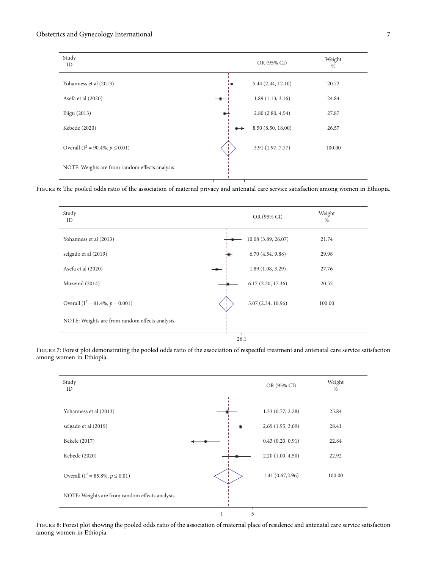## <span id="page-6-0"></span>Obstetrics and Gynecology International 7

| Study<br>ID                                    |                   | OR (95% CI)        | Weight<br>$\%$ |
|------------------------------------------------|-------------------|--------------------|----------------|
| Yohanness et al (2013)                         |                   | 5.44 (2.44, 12.10) | 20.72          |
| Asefa et al (2020)                             |                   | 1.89(1.13, 3.16)   | 24.84          |
| Ejigu (2013)                                   | $\bullet$         | 2.80(2.80, 4.54)   | 27.87          |
| Kebede (2020)                                  | $\leftrightarrow$ | 8.50 (8.50, 18.00) | 26.57          |
| Overall ( $I^2 = 90.4\%$ , $p \le 0.01$ )      |                   | 3.91 (1.97, 7.77)  | 100.00         |
| NOTE: Weights are from random effects analysis |                   |                    |                |

FIGURE 6: The pooled odds ratio of the association of maternal privacy and antenatal care service satisfaction among women in Ethiopia.

| Study<br>ID                                    |               | OR (95% CI)         | Weight<br>$\%$ |
|------------------------------------------------|---------------|---------------------|----------------|
| Yohanness et al (2013)                         |               | 10.08 (3.89, 26.07) | 21.74          |
| selgado et al (2019)                           |               | 6.70(4.54, 9.88)    | 29.98          |
| Asefa et al (2020)                             | $\rightarrow$ | 1.89(1.08, 3.29)    | 27.76          |
| Muzemil (2014)                                 |               | 6.17(2.20, 17.36)   | 20.52          |
| Overall ( $I^2 = 81.4\%$ , $p = 0.001$ )       |               | 5.07 (2.34, 10.96)  | 100.00         |
| NOTE: Weights are from random effects analysis |               |                     |                |
|                                                |               | 26.1                |                |

26.1

FIGURE 7: Forest plot demonstrating the pooled odds ratio of the association of respectful treatment and antenatal care service satisfaction among women in Ethiopia.



Figure 8: Forest plot showing the pooled odds ratio of the association of maternal place of residence and antenatal care service satisfaction among women in Ethiopia.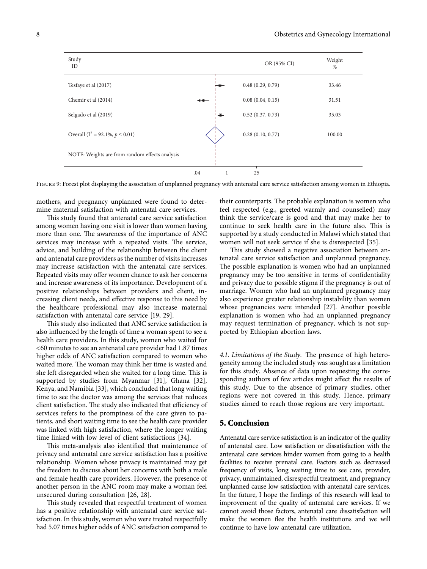<span id="page-7-0"></span>

| Study<br>ID                                    |                   | OR (95% CI)      | Weight<br>$\%$ |
|------------------------------------------------|-------------------|------------------|----------------|
| Tesfaye et al (2017)                           |                   | 0.48(0.29, 0.79) | 33.46          |
| Chemir et al (2014)                            | $\leftrightarrow$ | 0.08(0.04, 0.15) | 31.51          |
| Selgado et al (2019)                           |                   | 0.52(0.37, 0.73) | 35.03          |
| Overall ( $I^2 = 92.1\%$ , $p \le 0.01$ )      |                   | 0.28(0.10, 0.77) | 100.00         |
| NOTE: Weights are from random effects analysis |                   |                  |                |
|                                                | .04               | 25               |                |

Figure 9: Forest plot displaying the association of unplanned pregnancy with antenatal care service satisfaction among women in Ethiopia.

mothers, and pregnancy unplanned were found to determine maternal satisfaction with antenatal care services.

This study found that antenatal care service satisfaction among women having one visit is lower than women having more than one. The awareness of the importance of ANC services may increase with a repeated visits. The service, advice, and building of the relationship between the client and antenatal care providers as the number of visits increases may increase satisfaction with the antenatal care services. Repeated visits may offer women chance to ask her concerns and increase awareness of its importance. Development of a positive relationships between providers and client, increasing client needs, and effective response to this need by the healthcare professional may also increase maternal satisfaction with antenatal care service [[19,](#page-8-0) [29\]](#page-9-0).

This study also indicated that ANC service satisfaction is also influenced by the length of time a woman spent to see a health care providers. In this study, women who waited for <60 minutes to see an antenatal care provider had 1.87 times higher odds of ANC satisfaction compared to women who waited more. The woman may think her time is wasted and she left disregarded when she waited for a long time. This is supported by studies from Myanmar [[31\]](#page-9-0), Ghana [[32](#page-9-0)], Kenya, and Namibia [\[33\]](#page-9-0), which concluded that long waiting time to see the doctor was among the services that reduces client satisfaction. The study also indicated that efficiency of services refers to the promptness of the care given to patients, and short waiting time to see the health care provider was linked with high satisfaction, where the longer waiting time linked with low level of client satisfactions [[34](#page-9-0)].

This meta-analysis also identified that maintenance of privacy and antenatal care service satisfaction has a positive relationship. Women whose privacy is maintained may get the freedom to discuss about her concerns with both a male and female health care providers. However, the presence of another person in the ANC room may make a woman feel unsecured during consultation [[26](#page-8-0), [28](#page-9-0)].

This study revealed that respectful treatment of women has a positive relationship with antenatal care service satisfaction. In this study, women who were treated respectfully had 5.07 times higher odds of ANC satisfaction compared to

their counterparts. The probable explanation is women who feel respected (e.g., greeted warmly and counselled) may think the service/care is good and that may make her to continue to seek health care in the future also. This is supported by a study conducted in Malawi which stated that women will not seek service if she is disrespected [\[35\]](#page-9-0).

This study showed a negative association between antenatal care service satisfaction and unplanned pregnancy. The possible explanation is women who had an unplanned pregnancy may be too sensitive in terms of confidentiality and privacy due to possible stigma if the pregnancy is out of marriage. Women who had an unplanned pregnancy may also experience greater relationship instability than women whose pregnancies were intended [[27](#page-9-0)]. Another possible explanation is women who had an unplanned pregnancy may request termination of pregnancy, which is not supported by Ethiopian abortion laws.

4.1. Limitations of the Study. The presence of high heterogeneity among the included study was sought as a limitation for this study. Absence of data upon requesting the corresponding authors of few articles might affect the results of this study. Due to the absence of primary studies, other regions were not covered in this study. Hence, primary studies aimed to reach those regions are very important.

## **5. Conclusion**

Antenatal care service satisfaction is an indicator of the quality of antenatal care. Low satisfaction or dissatisfaction with the antenatal care services hinder women from going to a health facilities to receive prenatal care. Factors such as decreased frequency of visits, long waiting time to see care, provider, privacy, unmaintained, disrespectful treatment, and pregnancy unplanned cause low satisfaction with antenatal care services. In the future, I hope the findings of this research will lead to improvement of the quality of antenatal care services. If we cannot avoid those factors, antenatal care dissatisfaction will make the women flee the health institutions and we will continue to have low antenatal care utilization.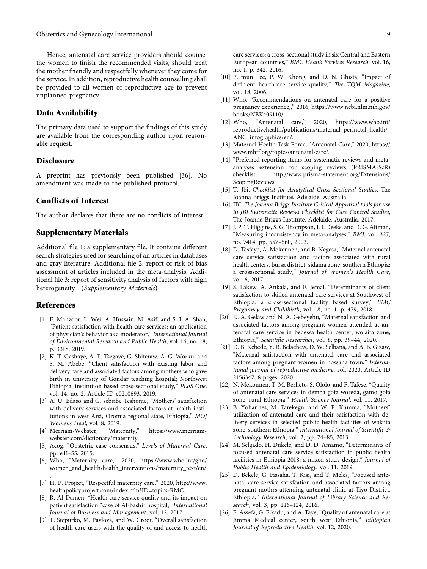<span id="page-8-0"></span>Hence, antenatal care service providers should counsel the women to finish the recommended visits, should treat the mother friendly and respectfully whenever they come for the service. In addition, reproductive health counselling shall be provided to all women of reproductive age to prevent unplanned pregnancy.

## **Data Availability**

The primary data used to support the findings of this study are available from the corresponding author upon reasonable request.

## **Disclosure**

A preprint has previously been published [\[36\]](#page-9-0). No amendment was made to the published protocol.

## **Conflicts of Interest**

The author declares that there are no conflicts of interest.

## **Supplementary Materials**

Additional file 1: a supplementary file. It contains different search strategies used for searching of an articles in databases and gray literature. Additional file 2: report of risk of bias assessment of articles included in the meta-analysis. Additional file 3: report of sensitivity analysis of factors with high heterogeneity . (*[Supplementary Materials](https://downloads.hindawi.com/journals/ogi/2022/9527576.f1.zip)*)

#### **References**

- [1] F. Manzoor, L. Wei, A. Hussain, M. Asif, and S. I. A. Shah, "Patient satisfaction with health care services; an application of physician's behavior as a moderator," *International Journal of Environmental Research and Public Health*, vol. 16, no. 18, p. 3318, 2019.
- [2] K. T. Gashaye, A. T. Tsegaye, G. Shiferaw, A. G. Worku, and S. M. Abebe, "Client satisfaction with existing labor and delivery care and associated factors among mothers who gave birth in university of Gondar teaching hospital; Northwest Ethiopia: institution based cross-sectional study," *PLoS One*, vol. 14, no. 2, Article ID e0210693, 2019.
- [3] A. U. Edaso and G. sebsibe Teshome, "Mothers' satisfaction with delivery services and associated factors at health institutions in west Arsi, Oromia regional state, Ethiopia," *MOJ Womens Heal*, vol. 8, 2019.
- [4] Merriam-Webster, "Maternity," [https://www.merriam](https://www.merriam-webster.com/dictionary/maternity)[webster.com/dictionary/maternity](https://www.merriam-webster.com/dictionary/maternity).
- [5] Acog, "Obstetric case consensus," *Levels of Maternal Care*, pp. e41–55, 2015.
- [6] Who, "Maternity care," 2020, [https://www.who.int/gho/](https://www.who.int/gho/women_and_health/health_interventions/maternity_text/en/) [women\\_and\\_health/health\\_interventions/maternity\\_text/en/](https://www.who.int/gho/women_and_health/health_interventions/maternity_text/en/) .
- [7] H. P. Project, "Respectful maternity care," 2020, [http://www.](http://www.healthpolicyproject.com/index.cfm?ID=topics-RMC) [healthpolicyproject.com/index.cfm?ID=topics-RMC](http://www.healthpolicyproject.com/index.cfm?ID=topics-RMC).
- [8] R. Al-Damen, "Health care service quality and its impact on patient satisfaction "case of Al-bashir hospital," *International Journal of Business and Management*, vol. 12, 2017.
- [9] T. Stepurko, M. Pavlova, and W. Groot, "Overall satisfaction of health care users with the quality of and access to health

care services: a cross-sectional study in six Central and Eastern European countries," *BMC Health Services Research*, vol. 16, no. 1, p. 342, 2016.

- [10] P. mun Lee, P. W. Khong, and D. N. Ghista, "Impact of deficient healthcare service quality," *The TQM Magazine*, vol. 18, 2006.
- [11] Who, "Recommendations on antenatal care for a positive pregnancy experience,," 2016, [https://www.ncbi.nlm.nih.gov/](https://www.ncbi.nlm.nih.gov/books/NBK409110/) [books/NBK409110/.](https://www.ncbi.nlm.nih.gov/books/NBK409110/)<br>[12] Who, "Antenatal
- "Antenatal care," 2020, [https://www.who.int/](https://www.who.int/reproductivehealth/publications/maternal_perinatal_health/ANC_infographics/en/) [reproductivehealth/publications/maternal\\_perinatal\\_health/](https://www.who.int/reproductivehealth/publications/maternal_perinatal_health/ANC_infographics/en/) [ANC\\_infographics/en/.](https://www.who.int/reproductivehealth/publications/maternal_perinatal_health/ANC_infographics/en/)
- [13] Maternal Health Task Force, "Antenatal Care," 2020, [https://](https://www.mhtf.org/topics/antenatal-care/) [www.mhtf.org/topics/antenatal-care/.](https://www.mhtf.org/topics/antenatal-care/)
- [14] "Preferred reporting items for systematic reviews and metaanalyses extension for scoping reviews (PRISMA-ScR)<br>checklist. http://www.prisma-statement.org/Extensions/ http://www.prisma-statement.org/Extensions/ [ScopingReviews.](http://www.prisma-statement.org/Extensions/ScopingReviews)
- [15] T. Jbi, *Checklist for Analytical Cross Sectional Studies*, The Joanna Briggs Institute, Adelaide, Australia.
- [16] JBI, *The Joanna Briggs Institute Critical Appraisal tools for use in JBI Systematic Reviews Checklist for Case Control Studies*, The Joanna Briggs Institute, Adelaide, Australia, 2017.
- [17] J. P. T. Higgins, S. G. Thompson, J. J. Deeks, and D. G. Altman, "Measuring inconsistency in meta-analyses," *BMJ*, vol. 327, no. 7414, pp. 557–560, 2003.
- [18] D. Tesfaye, A. Mokennen, and B. Negesa, "Maternal antenatal care service satisfaction and factors associated with rural health centers, bursa district, sidama zone, southern Ethiopia: a crosssectional study," *Journal of Women's Health Care*, vol. 6, 2017.
- [19] S. Lakew, A. Ankala, and F. Jemal, "Determinants of client satisfaction to skilled antenatal care services at Southwest of Ethiopia: a cross-sectional facility based survey," *BMC Pregnancy and Childbirth*, vol. 18, no. 1, p. 479, 2018.
- [20] K. A. Gelaw and N. A. Gebeyehu, "Maternal satisfaction and associated factors among pregnant women attended at antenatal care service in bedessa health center, wolaita zone, Ethiopia," *Scientific Researches*, vol. 8, pp. 39–44, 2020.
- [21] D. B. Kebede, Y. B. Belachew, D. W. Selbana, and A. B. Gizaw, "Maternal satisfaction with antenatal care and associated factors among pregnant women in hossana town," *International journal of reproductive medicine*, vol. 2020, Article ID 2156347, 8 pages, 2020.
- [22] N. Mekonnen, T. M. Berheto, S. Ololo, and F. Tafese, "Quality of antenatal care services in demba gofa woreda, gamo gofa zone, rural Ethiopia," *Health Science Journal*, vol. 11, 2017.
- [23] B. Yohannes, M. Tarekegn, and W. P. Kumma, "Mothers" utilization of antenatal care and their satisfaction with delivery services in selected public health facilities of wolaita zone, southern Ethiopia," *International Journal of Scientific & Technology Research*, vol. 2, pp. 74–85, 2013.
- [24] M. Selgado, H. Dukele, and D. D. Amamo, "Determinants of focused antenatal care service satisfaction in public health facilities in Ethiopia 2018: a mixed study design," *Journal of Public Health and Epidemiology*, vol. 11, 2019.
- [25] D. Bekele, G. Fissaha, T. Kisi, and T. Meles, "Focused antenatal care service satisfcation and associated factors among pregnant mothrs attending antenatal clinic at Tiyo District, Ethiopia," *International Journal of Library Science and Research*, vol. 3, pp. 116–124, 2016.
- [26] F. Assefa, G. Fikadu, and A. Taye, "Quality of antenatal care at Jimma Medical center, south west Ethiopia," *Ethiopian Journal of Reproductive Health*, vol. 12, 2020.